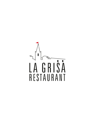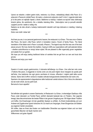Upravo se nalazite u našem gastro kutku, restoranu «La Grisa», nekadašnjoj oštariji «Alla Pace» (ili u prijevodu k Paceovim (obitelj Pace), čiji naslov u doslovnom prijevodu znači 'k miru'). Legenda kaže kako je to bilo jedno od najboljih mjesta u okolici. Baštinimo tu tradiciju i nadamo se ispuniti Vaša očekivanja biranim jelima, što autohtonim, što u dodatku istarskog štiha. Zadovoljstvo nam je ponuditi ekološki uzgojeno povrće i salate iz našeg vrta.

Nadamo se da ćete uživati u kušanju tradicionalnih istarskih sorti koje dobivamo iz vlastitog i lokalnog maslinika.

Dobro nam došli i dobar tek!

**°°°**

And here you are, in our personal gastronomic heaven; the restaurant «La Grisa». This was once «Osteria Alla Pace», the tavern «Alla Pace» (which in translation means «Tavern of family Pace». The literal translation of the Italian word «Pace» is actually «Peace»). The legend says that this was one of the best places around. We truly cherish this tradition, hoping to fulfill your expectations with well-selected dishes – whether autochthonous or simply Istrian styled. We are pleased to offer organically grown vegetables and salads from our garden.

We hope you will enjoy tasting traditional Istrian oil varieties that we get from our own and local olive groves.

Welcome and enjoy your meal!

**°°°**

Questo è il nostro angolo gastronomico, il ristorante dell'albergo «La Grisa». Una volta ben noto come «Trattoria Alla pace», la leggenda lo ricorda come uno dei posti migliori dove mangiare da queste parti dell'Istria. Una tradizione che ogni giorno cerchiamo di rivivere, offrendovi i migliori piatti della cucina istriana. Siamo lieti di offrirvi verdure e insalate coltivate biologicamente direttamente dal nostro orto. Speriamo che apprezzerete la degustazione delle tradizionali varietà istriane d'olio d'oliva che otteniamo sia dai nostri oliveti, sia da quelli locali.

Benvenuti e buon appetito!

Sie befinden sich gerade in unserer Gastroecke, im Restaurant «La Grisa», in ehemaligen Gasthaus «Alla Pace» (oder übersetzt: zur Familie Pace); wörtlich übersetzt bedeutet das «in Frieden». Die Legende besagt, dass dies einmal einer der besten Plätze in der ganzen Umgebung war. Wir folgen dieser Tradition und hoffen, ihre Erwartungen mit den gewählten Speisen zu erfüllen. Zu Einem bodenständig und zum Anderen als Zugabe einer typisch istrischen Art. Es macht uns Vergnügen, Ihnen Ekogemüse und Salaten aus eigenem Garten anzubieten.

**°°°**

Wir hoffen, dass es Ihnen das Kosten von traditionellen Olivenölen aus eigenem Auben und von lokal gezüchteten Bäumen viel Spaß machen wird.

Willkommen und guten Appetit!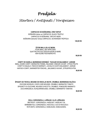## *Predjela*

## *Starters / Antipasti / Vorspeisen*

#### **CARPACCIO OD BOŠKARINA, CRNI TARTUF**

BOŠKARIN (istrian ox) CARPACCIO, BLACK TRUFFLE CARPACCIO DI BOŠKARIN, TARTUFO NERO BOŠKARIN (Istrischer Ochse) CARPACCIO, SCHWARZEN TRÜFFELN

 **120,00 KN**

#### **ČETIRI MALA JELA IZ MORA**

FOUR SMALL SEA APPETIZER QUATTRO PICCOLE DEGUSTAZIONI DI MARE VIER KLEINE FISCHGERICHTE

 **90,00 KN**

#### **CONFIT OD KADELA, MARINIRANI KOROMAČ, ''KAVIJAR OD BALSAMICA'', AGRUMI**

SMALL SHARK CONFIT, MARINATED FENNEL,"BALSAMIC VINEGAR CAVIAR", CITRUS FRUITS CONFIT DI SQUALO, FINOCCHI MARINATI, "CAVIALE DI ACETO BALSAMICO", AGRUMI HAIFISCH CONFIT, MARINIERTER FENCHEL, "BALSAMICO KAVIAR", ZITRUSFRÜCHTEN **80,00 KN**

#### **ŠPAGETI OD TIKVICA, MOUSSE OD KRAVLJE SKUTE, CRUMBLE, MARINIRANA RAJČICA**

ZUCCHINI NOODLES, COW'S CURD MOUSSE, CRUMBLE, MARINATED TOMATO SPAGHETTI DI ZUCCHINE, MOUSSE DI RICOTTA, CRUMBLE, POMODORO MARINATO ZUCCHININUDELN, KUHQUARKMOUSSE, CRUMBLE, MARINIERTE TOMATEN

**80,00 KN**

#### **CIKLA, GORGONZOLA, LJEŠNJAK, ULJE LJEŠNJAKA**

BEETROOT, GORGONZOLA, HAZELNUT, HAZELNUT OIL BARBABIETOLA, GORGONZOLA, NOCCIOLA, OLIO DI NOCCIOLA ROTE BETE, GORGONZOLA, HASELNUSS, HASELNUSSÖL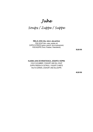## *Juhe*

### *Soups / Zuppe / Suppe*

#### **RIBLJA JUHA (riba, rakovi, ulje peršina)**

FISH SOUP (fish, crabs, parsley oil) ZUPPA DI PESCE (pesce, granchi, olio al prezzemolo) FISCHSUPPE (Fisch, Krabben, Petersilienöl)

**50,00 KN**

#### **HLADNA JUHA OD KRASTAVACA, JOGURTA I KOPRA**

COLD CUCUMBER, YOGHURT AND DILL SOUP ZUPPA FREDDA DI CETRIOLI, YOGURT E ANETE KALTE GURKEN, JOGHURT UND DILLSUPPE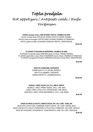# *Topla predjela Hot appetizers / Antipasti caldi / Heiße Vorspeisen*

#### **RAVIOLI (punjeni sirom), CRNI ISTARSKI TARTUF, CRUMBLE OD SIRA**

RAVIOLI (cheese filling) WITH BLACK ISTRIAN TRUFFLE,CHEESE CRUMBLE RAVIOLI (ripieni al formaggio),TARTUFO NERO ISTRIANO,CRUMBLE DI FORMAGGIO RAVIOLI (gefüllt mit Käse), SCHWARZE ISTRISCHE TRÜFFEL, KÄSESTREUSEL

**120,00 KN**

#### **PLJUKANCI S RAGUOM OD BOŠKARINA, CRUMBLE OD SIRA**

PLJUKANCI (homemade pasta), BOŠKARIN (istrian ox) RAGU, CHEESE CRUMBLE PLJUKANCI (pasta fatta in casa), RAGU DI BOŠKARIN (manzo d'Istria), CRUMBLE DI FORMAGGIO PLJUKANCI (hausgemachte Nudeln), BOŠKARIN (istrianischer Ochse) RAGU, KÄSESTREUSEL

**98,00 KN**

#### **RISOTTO S KOZICAMA, KAPESANTE**

SHRIMP RISOTTO, ST.JACOBS MUSSELS RISOTTO DI GAMBERI, CAPESANTE GARNELENRISOTTO, JAKOBSMUSCHELN

**140,00 KN**

#### **DAGNJE, LARDO, MLADI LUK, ČILI, LIMETA, MENTA**

MUSSELS, LARDO, SPRING ONIONS, CHILLI, LIME, MINT COZZE, LARDO, CIPOLLOTTO, PEPERONCINO, LIME, MENTA MUSCHELN, LARDO, FRÜHLINGSZWIEBELN, CHILLI, LIME, MINZE

**80,00 KN**

#### **GNUDI OD KRAVLJE SKUTE, DOMAĆA ŠALŠA, SIR "VELI JOŽE", BOSILJAK**

GNUDI WITH COW'S CURD, HOMEMADE TOMATO SAUCE, "VELI JOŽE" CHEESE, BASIL GNUDI CON RICOTTA, SALSA DI POMODORO FATTA IN CASA, FORMAGGIO "VELI JOŽE", BASILICO GNUDI MIT KUHQUARK, HAUSGEMACHT TOMATENSAUCE, KÄSE "VELI JOŽE", BASILIKUM **80,00 KN**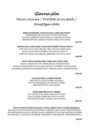# *Glavna jela Main courses / Portate principali / Hauptgerichte*

**REBRA OD BOŠKARINA, PALENTA SA GRILA, UKISELJENO POVRĆE**

BOŠKARIN RIBS, GRILLED POLENTA, PICKLED VEGETABLES COSTOLE DI BOŠKARIN, POLENTA GRIGLIATA, VERDURE SOTT'ACETO BOŠKARIN-RIPPCHEN, GEGRILLTE POLENTA, EINGELEGTES GEMÜSE

**160,00 KN**

#### **RAMSTEK (BLACK ANGUS IRSKA), FRIGANI MLADI KRUMPIR, PEČENA PANCETA**

RUMP STEAK (BLACK ANGUS IRELAND), FRIED POTATOES, BAKED BACON BISTECCA (BLACK ANGUS IRLANADA), PATATE FRITTE, PANCETTA RUMPSTEAK (BLACK ANGUS IRELAND), GEBRATENE KARTOFFELN, SPECK

**220,00 KN**

#### **KOTLET CRNE SLAVONSKE SVINJE, RIMSKI NJOK, ČVARCI LARDO**

BLACK SLAVONIAN PORK CHOP, ROMAN GNOCCO, PORK CRACKLINGS BRACIOLA DI MAIALE NERO DELLA SLAVONIA, GNOCCO ALLA ROMANA, CICCIOLI DI MAIALE SCHWARZES SLAWONISCHES SCHWEINEKOTELETT, RÖMISCHES GNOCH, SCHWEINEKNACKEL

 **160,00 KN**

#### **FILE BIJELE RIBE SA JULIENNE POVRĆEM**

WHITE FISH FILLET WITH JULIENNE VEGETABLES FILETTO DI PESCE BIANCO CON VERDURE JULIENNE WEISSFISCHFILET MIT JULIEN GEMÜSE

**150,00 KN**

#### **DNEVNI IZBOR RIBE, BLITVA I KRUMPIR**

DAILY CHOICE OF FISH, SWISS CHARD AND POTATOES SCELTA DI PESCE GIORNALIERA, BIETOLA E PATATE TÄGLICHE FISCHAUSWAHL, MANGEL UND KARTOFFELN

**200,00 KN**

#### **TIKVICA PUNJENA RAGUOM OD BULGURA I POVRĆA, DOMAĆA ŠALŠA, ISTARSKA MOZZARELLA**

ZUCCHINI STUFFED WITH BULGUR AND VEGETABLES, HOMEMADE TOMATO SAUCE, ISTRIAN MOZZARELLA ZUCCHINE RIPIENE DI BULGUR E VERDURE, SALSA DI POMODORO FATTA IN CASA, MOZZARELLA ISTRIANA ZUCCHINI GEFÜLLT MIT BULGUR UND GEMÜSE, HAUSGEMACHT TOMATENSAUCE, ISTRISCHEMOZZARELLA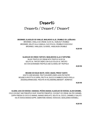### *Deserti*

# *Desserts / Dessert / Dessert*

#### **BROWNIES, SLADOLED OD VANILIJE, MASLINOVO ULJE, CRUMBLE OD LJEŠNJAKA**

BROWNIES, VANILLA ICE CREAM, OLIVE OIL, HAZELNUT CRUMBLE BROWNIES, GELATO ALLA VANIGLIA, OLIO D'OLIVA, CRUMBLE DI NOCCIOLE BROWNIES, VANILLEEIS, OLIVENÖL, HASELNUSS-CRUMBLE

**45,00 KN**

#### **SLADOLED OD CRNOG TARTUFA I MASLINOVOG ULJA S TARTUFIMA**

BLACK TRUFFLE ICE CREAM WITH TRUFFLE OLIVE OIL GELATO AL TARTUFO NERO CON OLIO D'OLIVA AL TARTUFO EIS VON SCHWARZEN TRÜFFELN UND OLIVENÖL MIT TRÜFFELN

**45,00 KN**

#### **MOUSSE OD KOZJE SKUTE, VOĆE U BAZGI, PRKHO TIJESTO**

GOAT'S CURD MOUSSE, FRUIT IN ELDERFLOWER JUICE,PIE PASTRY MOUSSE DI RICOTTA DI CAPRA, FRUTTA AL SUCCO DI SAMBUCO,PASTA FROLLA ZIEGENQUARKMOUSSE, FRÜCHTE IN HOLUNDERBLUMENSAFT, MÜRBTEIG

**45,00 KN**

#### **HLADNA JUHA OD KOKOSA I ANANASA, PEČENI ANANAS, SLADOLED OD KOKOSA, SLANI KARAMEL**

COLD COCONUT AND PINEAPPLE SOUP, ROASTED PINEAPPLE, COCONUT ICE CREAM, SALTED CARAMEL ZUPPA FREDDA DI COCCO E ANANAS, ANANAS GRIGLIATO, GELATO AL COCCO, CARAMELLO SALATO KALTE KOKOS-ANANAS-SUPPE, GEBRATENE ANANAS, KOKOS-EIS, GESALZENES KARAMELL